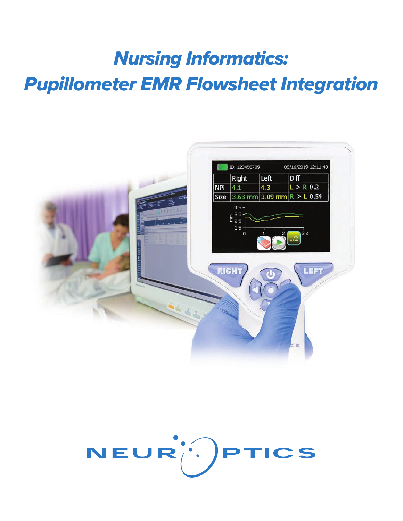# *Nursing Informatics: Pupillometer EMR Flowsheet Integration*



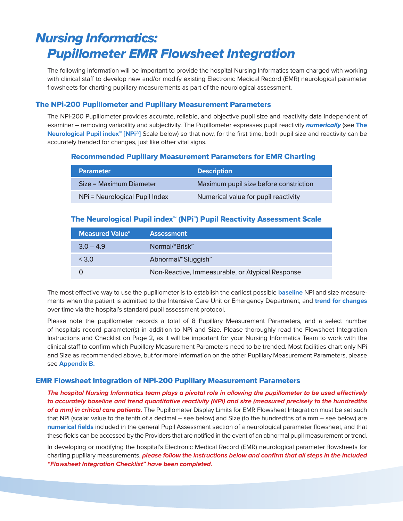# *Nursing Informatics: Pupillometer EMR Flowsheet Integration*

The following information will be important to provide the hospital Nursing Informatics team charged with working with clinical staff to develop new and/or modify existing Electronic Medical Record (EMR) neurological parameter flowsheets for charting pupillary measurements as part of the neurological assessment.

#### The NPi-200 Pupillometer and Pupillary Measurement Parameters

The NPi-200 Pupillometer provides accurate, reliable, and objective pupil size and reactivity data independent of examiner – removing variability and subjectivity. The Pupillometer expresses pupil reactivity *numerically* (see **The Neurological Pupil index™ [NPi®]** Scale below) so that now, for the first time, both pupil size and reactivity can be accurately trended for changes, just like other vital signs.

#### Recommended Pupillary Measurement Parameters for EMR Charting

| <b>Parameter</b>               | <b>Description</b>                     |
|--------------------------------|----------------------------------------|
| Size = Maximum Diameter        | Maximum pupil size before constriction |
| NPi = Neurological Pupil Index | Numerical value for pupil reactivity   |

## The Neurological Pupil index™ (NPi® ) Pupil Reactivity Assessment Scale

| <b>Measured Value*</b> | <b>Assessment</b>                                |
|------------------------|--------------------------------------------------|
| $3.0 - 4.9$            | Normal/"Brisk"                                   |
| $<$ 3.0                | Abnormal/"Sluggish"                              |
|                        | Non-Reactive, Immeasurable, or Atypical Response |

The most effective way to use the pupillometer is to establish the earliest possible **baseline** NPi and size measurements when the patient is admitted to the Intensive Care Unit or Emergency Department, and **trend for changes** over time via the hospital's standard pupil assessment protocol.

Please note the pupillometer records a total of 8 Pupillary Measurement Parameters, and a select number of hospitals record parameter(s) in addition to NPi and Size. Please thoroughly read the Flowsheet Integration Instructions and Checklist on Page 2, as it will be important for your Nursing Informatics Team to work with the clinical staff to confirm which Pupillary Measurement Parameters need to be trended. Most facilities chart only NPi and Size as recommended above, but for more information on the other Pupillary Measurement Parameters, please see **Appendix B.**

#### EMR Flowsheet Integration of NPi-200 Pupillary Measurement Parameters

*The hospital Nursing Informatics team plays a pivotal role in allowing the pupillometer to be used effectively to accurately baseline and trend quantitative reactivity (NPi) and size (measured precisely to the hundredths of a mm) in critical care patients.* The Pupillometer Display Limits for EMR Flowsheet Integration must be set such that NPi (scalar value to the tenth of a decimal – see below) and Size (to the hundredths of a mm – see below) are **numerical fields** included in the general Pupil Assessment section of a neurological parameter flowsheet, and that these fields can be accessed by the Providers that are notified in the event of an abnormal pupil measurement or trend.

In developing or modifying the hospital's Electronic Medical Record (EMR) neurological parameter flowsheets for charting pupillary measurements, *please follow the instructions below and confirm that all steps in the included "Flowsheet Integration Checklist" have been completed.*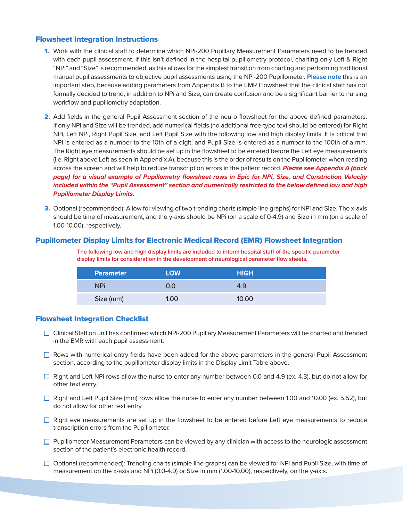#### Flowsheet Integration Instructions

- 1. Work with the clinical staff to determine which NPi-200 Pupillary Measurement Parameters need to be trended with each pupil assessment. If this isn't defined in the hospital pupillometry protocol, charting only Left & Right "NPi" and "Size" is recommended, as this allows for the simplest transition from charting and performing traditional manual pupil assessments to objective pupil assessments using the NPi-200 Pupillometer. **Please note** this is an important step, because adding parameters from Appendix B to the EMR Flowsheet that the clinical staff has not formally decided to trend, in addition to NPi and Size, can create confusion and be a significant barrier to nursing workflow and pupillometry adaptation.
- 2. Add fields in the general Pupil Assessment section of the neuro flowsheet for the above defined parameters. If only NPi and Size will be trended, add numerical fields (no additional free-type text should be entered) for Right NPi, Left NPi, Right Pupil Size, and Left Pupil Size with the following low and high display limits. It is critical that NPi is entered as a number to the 10th of a digit, and Pupil Size is entered as a number to the 100th of a mm. The Right eye measurements should be set up in the flowsheet to be entered before the Left eye measurements (i.e. Right above Left as seen in Appendix A), because this is the order of results on the Pupillometer when reading across the screen and will help to reduce transcription errors in the patient record. *Please see Appendix A (back page) for a visual example of Pupillometry flowsheet rows in Epic for NPi, Size, and Constriction Velocity included within the "Pupil Assessment" section and numerically restricted to the below defined low and high Pupillometer Display Limits.*
- **3.** Optional (recommended): Allow for viewing of two trending charts (simple line graphs) for NPi and Size. The x-axis should be time of measurement, and the y-axis should be NPi (on a scale of 0-4.9) and Size in mm (on a scale of 1.00-10.00), respectively.

#### Pupillometer Display Limits for Electronic Medical Record (EMR) Flowsheet Integration

**The following low and high display limits are included to inform hospital staff of the specific parameter display limits for consideration in the development of neurological parameter flow sheets.**

| <b>Parameter</b> | <b>LOW</b> | <b>HIGH</b> |  |
|------------------|------------|-------------|--|
| <b>NPi</b>       | 0.0        | 4.9         |  |
| Size (mm)        | 1.00       | 10.00       |  |

#### Flowsheet Integration Checklist

- □ Clinical Staff on unit has confirmed which NPi-200 Pupillary Measurement Parameters will be charted and trended in the EMR with each pupil assessment.
- $\Box$  Rows with numerical entry fields have been added for the above parameters in the general Pupil Assessment section, according to the pupillometer display limits in the Display Limit Table above.
- $\Box$  Right and Left NPi rows allow the nurse to enter any number between 0.0 and 4.9 (ex. 4.3), but do not allow for other text entry.
- $\Box$  Right and Left Pupil Size (mm) rows allow the nurse to enter any number between 1.00 and 10.00 (ex. 5.52), but do not allow for other text entry.
- $\Box$  Right eye measurements are set up in the flowsheet to be entered before Left eye measurements to reduce transcription errors from the Pupillometer.
- □ Pupillometer Measurement Parameters can be viewed by any clinician with access to the neurologic assessment section of the patient's electronic health record.
- $\Box$  Optional (recommended): Trending charts (simple line graphs) can be viewed for NPi and Pupil Size, with time of measurement on the x-axis and NPi (0.0-4.9) or Size in mm (1.00-10.00), respectively, on the y-axis.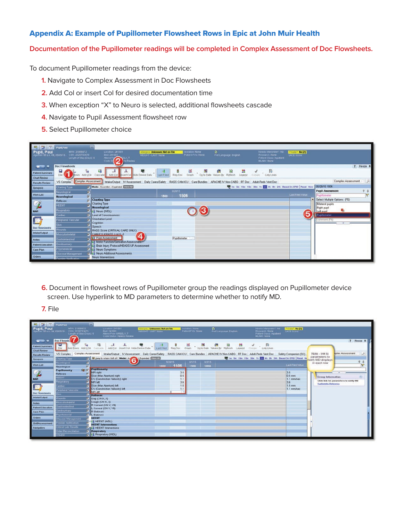### Appendix A: Example of Pupillometer Flowsheet Rows in Epic at John Muir Health

#### **Documentation of the Pupillometer readings will be completed in Complex Assessment of Doc Flowsheets.**

To document Pupillometer readings from the device:

- **1.** Navigate to Complex Assessment in Doc Flowsheets
- **2.** Add Col or insert Col for desired documentation time
- **3.** When exception "X" to Neuro is selected, additional flowsheets cascade
- **4.** Navigate to Pupil Assessment flowsheet row
- **5.** Select Pupillometer choice

|                                              | <b>略位 T PupilPaul</b>                                                                                                                                                                                                                              |                                                                                                                                                          |                             |                                                                       |                                                                                                                    |   |                                                                           |            |
|----------------------------------------------|----------------------------------------------------------------------------------------------------------------------------------------------------------------------------------------------------------------------------------------------------|----------------------------------------------------------------------------------------------------------------------------------------------------------|-----------------------------|-----------------------------------------------------------------------|--------------------------------------------------------------------------------------------------------------------|---|---------------------------------------------------------------------------|------------|
| Pupil, Paul<br>Age/Sex 85 y.o. / M, 05/05/19 | MRN 21005672<br>C8N 2026753475<br>Length of Stay (Days) 0                                                                                                                                                                                          | Location 241001<br>Bed 241601<br>WEIGHT - LAST None<br>Afteria Ping SLY, T<br>Code St. 2 35 Review                                                       | <b>Unknown: Not on File</b> | Isolation: None<br>2)<br>Pref Language: English<br>Patient Fyls: None | Private? No [2]<br>Needs Interpreter?: No<br>Research: None<br>LACE Score<br>Patient Class Inpatient<br>MuJMH None |   |                                                                           |            |
|                                              | <b>Doc Flowsheets</b>                                                                                                                                                                                                                              |                                                                                                                                                          |                             |                                                                       |                                                                                                                    |   |                                                                           | ? Resize 0 |
| Patient Summary<br>Chart Review              | $\overline{\mathbf{B}}$<br>Graph<br>Ч.<br>羅<br><b>EN B D</b><br>Og to Date Values By Refresh<br>Θ,<br>m <sup>2</sup><br>顶<br>Lepend<br>File A<br>Rows Add LDA<br>Cascade Add Col Insert Col Hide Device Data<br>Reg Doc<br>LastFiled<br>Link Lines |                                                                                                                                                          |                             |                                                                       |                                                                                                                    |   |                                                                           |            |
| <b>Results Review</b>                        |                                                                                                                                                                                                                                                    | VS Complex Assessment Intake/Output   MAssessment   Daily Cares/Safety   RASS CAM-ICU   Care Bundles   APACHE IV Non-CABG   RT Doc   Adult-Peds Vent Doc |                             |                                                                       |                                                                                                                    |   | Complex Assessment                                                        |            |
| Synopsis                                     | <b>Charting Type</b>                                                                                                                                                                                                                               | V Model Accordon Expanded                                                                                                                                |                             |                                                                       | To tim Sm 10m 15m 30m 1h 60 4h 8h 24h Based On 0700 Reset Now 05/28/15 1506                                        |   |                                                                           |            |
| Work List                                    | 国<br>Neurological<br>$\overline{\mathbf{v}}$<br><b>Neurological</b>                                                                                                                                                                                |                                                                                                                                                          | 5/28/15<br>1506<br>1500     |                                                                       | Last Filed Value                                                                                                   |   | <b>Pupil Assessment</b><br>Pupillometer                                   | <b>NSP</b> |
| $\frac{1}{\text{max}}$                       | Reflexes<br><b>HEENT</b>                                                                                                                                                                                                                           | <b>Charting Type</b><br><b>Charting Type</b><br><b>Neurological</b>                                                                                      |                             |                                                                       |                                                                                                                    |   | - Select Multiple Options: (F5)<br><b>Bitateral pupils</b><br>Right pupil |            |
|                                              | Respiratory<br>ardiac                                                                                                                                                                                                                              | V Neuro (WDL)<br>V Level of Consciousness                                                                                                                |                             |                                                                       |                                                                                                                    | 5 | ۰<br>Left pupil<br>Pupillometer                                           |            |
|                                              | Peripheral Vascular<br>Skin <sup>1</sup>                                                                                                                                                                                                           | Orientation Level<br>Cognition<br>Speech                                                                                                                 |                             |                                                                       |                                                                                                                    |   | Comment (Fb)                                                              |            |
| <b>Doc Flowsheets</b><br>Intake/Output       | <b>Vounds</b>                                                                                                                                                                                                                                      | RASS Score (CRITICAL CARE ONLY)<br>$\triangleright$ CAMICU (RASS > $m = -3$ )                                                                            |                             |                                                                       |                                                                                                                    |   |                                                                           |            |
| Notes                                        | Musculoskeletal<br>Gastrointestinal                                                                                                                                                                                                                | 4<br>V 1 Pupil Assessment<br>Motor Function/Sensation Assessment                                                                                         | Pupillometer                |                                                                       |                                                                                                                    |   |                                                                           |            |
| <b>Patient Education</b>                     | enitourinary                                                                                                                                                                                                                                       | <b>Brain Injury Protocol/HEADS UP Assessment</b>                                                                                                         |                             |                                                                       |                                                                                                                    |   |                                                                           |            |
| Care Plan                                    | Psychosocial                                                                                                                                                                                                                                       | V Neuro Symptoms                                                                                                                                         |                             |                                                                       |                                                                                                                    |   |                                                                           |            |
| Orders                                       | <b>Slucose Management</b><br>Provider Notification                                                                                                                                                                                                 | Villa Neuro Additional Assessments<br>Neuro Interventions                                                                                                |                             |                                                                       |                                                                                                                    |   |                                                                           |            |

- **6.** Document in flowsheet rows of Pupillometer group the readings displayed on Pupillometer device screen. Use hyperlink to MD parameters to determine whether to notify MD.
- **7.** File